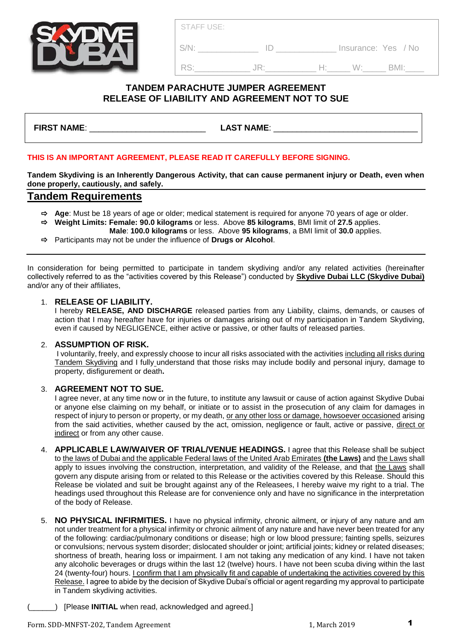**S/N: ID** lnsurance: Yes / No

RS:\_\_\_\_\_\_\_\_\_\_\_\_ JR:\_\_\_\_\_\_\_\_\_\_\_ H:\_\_\_\_\_ W:\_\_\_\_\_ BMI:\_\_\_\_

# **TANDEM PARACHUTE JUMPER AGREEMENT RELEASE OF LIABILITY AND AGREEMENT NOT TO SUE**

**FIRST NAME**: \_\_\_\_\_\_\_\_\_\_\_\_\_\_\_\_\_\_\_\_\_\_\_\_\_ **LAST NAME**: \_\_\_\_\_\_\_\_\_\_\_\_\_\_\_\_\_\_\_\_\_\_\_\_\_\_\_\_\_\_\_

## **THIS IS AN IMPORTANT AGREEMENT, PLEASE READ IT CAREFULLY BEFORE SIGNING.**

**Tandem Skydiving is an Inherently Dangerous Activity, that can cause permanent injury or Death, even when done properly, cautiously, and safely.**

## **Tandem Requirements**

- **Age**: Must be 18 years of age or older; medical statement is required for anyone 70 years of age or older.
- **Weight Limits: Female: 90.0 kilograms** or less. Above **85 kilograms**, BMI limit of **27.5** applies.
	- **Male**: **100.0 kilograms** or less. Above **95 kilograms**, a BMI limit of **30.0** applies.
- Participants may not be under the influence of **Drugs or Alcohol**.

In consideration for being permitted to participate in tandem skydiving and/or any related activities (hereinafter collectively referred to as the "activities covered by this Release") conducted by **Skydive Dubai LLC (Skydive Dubai)** and/or any of their affiliates,

### 1. **RELEASE OF LIABILITY.**

I hereby **RELEASE, AND DISCHARGE** released parties from any Liability, claims, demands, or causes of action that I may hereafter have for injuries or damages arising out of my participation in Tandem Skydiving, even if caused by NEGLIGENCE, either active or passive, or other faults of released parties.

#### 2. **ASSUMPTION OF RISK.**

I voluntarily, freely, and expressly choose to incur all risks associated with the activities including all risks during Tandem Skydiving and I fully understand that those risks may include bodily and personal injury, damage to property, disfigurement or death**.**

## 3. **AGREEMENT NOT TO SUE.**

I agree never, at any time now or in the future, to institute any lawsuit or cause of action against Skydive Dubai or anyone else claiming on my behalf, or initiate or to assist in the prosecution of any claim for damages in respect of injury to person or property, or my death, or any other loss or damage, howsoever occasioned arising from the said activities, whether caused by the act, omission, negligence or fault, active or passive, direct or indirect or from any other cause.

- 4. **APPLICABLE LAW/WAIVER OF TRIAL/VENUE HEADINGS.** I agree that this Release shall be subject to the laws of Dubai and the applicable Federal laws of the United Arab Emirates **(the Laws)** and the Laws shall apply to issues involving the construction, interpretation, and validity of the Release, and that the Laws shall govern any dispute arising from or related to this Release or the activities covered by this Release. Should this Release be violated and suit be brought against any of the Releasees, I hereby waive my right to a trial. The headings used throughout this Release are for convenience only and have no significance in the interpretation of the body of Release.
- 5. **NO PHYSICAL INFIRMITIES.** I have no physical infirmity, chronic ailment, or injury of any nature and am not under treatment for a physical infirmity or chronic ailment of any nature and have never been treated for any of the following: cardiac/pulmonary conditions or disease; high or low blood pressure; fainting spells, seizures or convulsions; nervous system disorder; dislocated shoulder or joint; artificial joints; kidney or related diseases; shortness of breath, hearing loss or impairment. I am not taking any medication of any kind. I have not taken any alcoholic beverages or drugs within the last 12 (twelve) hours. I have not been scuba diving within the last 24 (twenty-four) hours. I confirm that I am physically fit and capable of undertaking the activities covered by this Release. I agree to abide by the decision of Skydive Dubai's official or agent regarding my approval to participate in Tandem skydiving activities.
	- (\_\_\_\_\_\_) [Please **INITIAL** when read, acknowledged and agreed.]